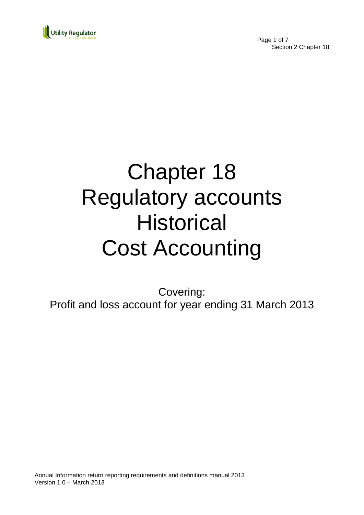

Page 1 of 7 Section 2 Chapter 18

# Chapter 18 Regulatory accounts **Historical** Cost Accounting

Covering: Profit and loss account for year ending 31 March 2013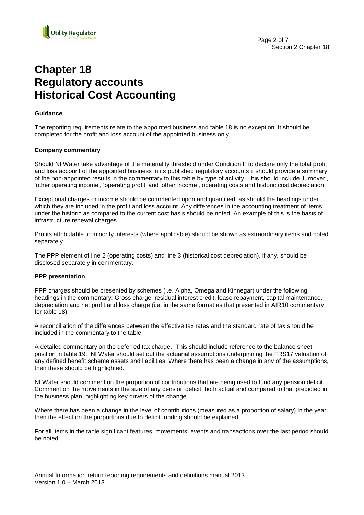

## **Chapter 18 Regulatory accounts Historical Cost Accounting**

#### **Guidance**

The reporting requirements relate to the appointed business and table 18 is no exception. It should be completed for the profit and loss account of the appointed business only.

#### **Company commentary**

Should NI Water take advantage of the materiality threshold under Condition F to declare only the total profit and loss account of the appointed business in its published regulatory accounts it should provide a summary of the non-appointed results in the commentary to this table by type of activity. This should include "turnover", "other operating income", "operating profit" and "other income", operating costs and historic cost depreciation.

Exceptional charges or income should be commented upon and quantified, as should the headings under which they are included in the profit and loss account. Any differences in the accounting treatment of items under the historic as compared to the current cost basis should be noted. An example of this is the basis of infrastructure renewal charges.

Profits attributable to minority interests (where applicable) should be shown as extraordinary items and noted separately.

The PPP element of line 2 (operating costs) and line 3 (historical cost depreciation), if any, should be disclosed separately in commentary.

#### **PPP presentation**

PPP charges should be presented by schemes (i.e. Alpha, Omega and Kinnegar) under the following headings in the commentary: Gross charge, residual interest credit, lease repayment, capital maintenance, depreciation and net profit and loss charge (i.e. in the same format as that presented in AIR10 commentary for table 18).

A reconciliation of the differences between the effective tax rates and the standard rate of tax should be included in the commentary to the table.

A detailed commentary on the deferred tax charge. This should include reference to the balance sheet position in table 19. NI Water should set out the actuarial assumptions underpinning the FRS17 valuation of any defined benefit scheme assets and liabilities. Where there has been a change in any of the assumptions, then these should be highlighted.

NI Water should comment on the proportion of contributions that are being used to fund any pension deficit. Comment on the movements in the size of any pension deficit, both actual and compared to that predicted in the business plan, highlighting key drivers of the change.

Where there has been a change in the level of contributions (measured as a proportion of salary) in the year, then the effect on the proportions due to deficit funding should be explained.

For all items in the table significant features, movements, events and transactions over the last period should be noted.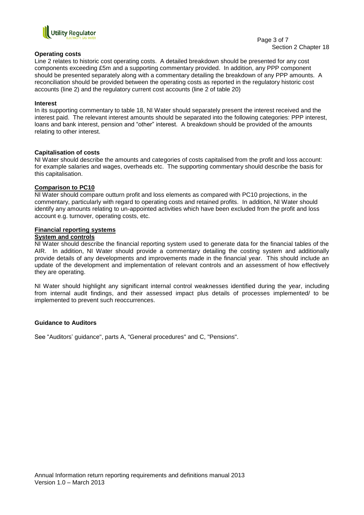

#### **Operating costs**

Line 2 relates to historic cost operating costs. A detailed breakdown should be presented for any cost components exceeding £5m and a supporting commentary provided. In addition, any PPP component should be presented separately along with a commentary detailing the breakdown of any PPP amounts. A reconciliation should be provided between the operating costs as reported in the regulatory historic cost accounts (line 2) and the regulatory current cost accounts (line 2 of table 20)

#### **Interest**

In its supporting commentary to table 18, NI Water should separately present the interest received and the interest paid. The relevant interest amounts should be separated into the following categories: PPP interest, loans and bank interest, pension and "other" interest. A breakdown should be provided of the amounts relating to other interest.

#### **Capitalisation of costs**

NI Water should describe the amounts and categories of costs capitalised from the profit and loss account: for example salaries and wages, overheads etc. The supporting commentary should describe the basis for this capitalisation.

#### **Comparison to PC10**

NI Water should compare outturn profit and loss elements as compared with PC10 projections, in the commentary, particularly with regard to operating costs and retained profits. In addition, NI Water should identify any amounts relating to un-appointed activities which have been excluded from the profit and loss account e.g. turnover, operating costs, etc.

#### **Financial reporting systems**

#### **System and controls**

NI Water should describe the financial reporting system used to generate data for the financial tables of the AIR. In addition, NI Water should provide a commentary detailing the costing system and additionally provide details of any developments and improvements made in the financial year. This should include an update of the development and implementation of relevant controls and an assessment of how effectively they are operating.

NI Water should highlight any significant internal control weaknesses identified during the year, including from internal audit findings, and their assessed impact plus details of processes implemented/ to be implemented to prevent such reoccurrences.

#### **Guidance to Auditors**

See "Auditors' guidance", parts A, "General procedures" and C, "Pensions".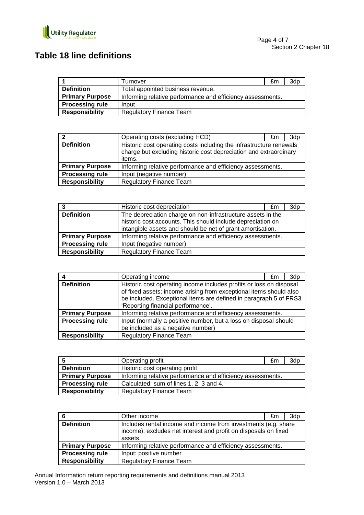

## **Table 18 line definitions**

|                        | Turnover                                                   | £m | 3d <sub>p</sub> |
|------------------------|------------------------------------------------------------|----|-----------------|
| <b>Definition</b>      | Total appointed business revenue.                          |    |                 |
| <b>Primary Purpose</b> | Informing relative performance and efficiency assessments. |    |                 |
| <b>Processing rule</b> | Input                                                      |    |                 |
| Responsibility         | <b>Regulatory Finance Team</b>                             |    |                 |

| ົ                      | Operating costs (excluding HCD)                                                                                                                    | £m | 3d <sub>p</sub> |
|------------------------|----------------------------------------------------------------------------------------------------------------------------------------------------|----|-----------------|
| <b>Definition</b>      | Historic cost operating costs including the infrastructure renewals<br>charge but excluding historic cost depreciation and extraordinary<br>items. |    |                 |
| <b>Primary Purpose</b> | Informing relative performance and efficiency assessments.                                                                                         |    |                 |
| <b>Processing rule</b> | Input (negative number)                                                                                                                            |    |                 |
| <b>Responsibility</b>  | <b>Regulatory Finance Team</b>                                                                                                                     |    |                 |

| 3                      | Historic cost depreciation                                  | £m | 3dp |
|------------------------|-------------------------------------------------------------|----|-----|
| <b>Definition</b>      | The depreciation charge on non-infrastructure assets in the |    |     |
|                        | historic cost accounts. This should include depreciation on |    |     |
|                        | intangible assets and should be net of grant amortisation.  |    |     |
| <b>Primary Purpose</b> | Informing relative performance and efficiency assessments.  |    |     |
| <b>Processing rule</b> | Input (negative number)                                     |    |     |
| <b>Responsibility</b>  | <b>Regulatory Finance Team</b>                              |    |     |

|                        | Operating income                                                                                                                                                                                                                                     | £m | 3dp |
|------------------------|------------------------------------------------------------------------------------------------------------------------------------------------------------------------------------------------------------------------------------------------------|----|-----|
| <b>Definition</b>      | Historic cost operating income includes profits or loss on disposal<br>of fixed assets; income arising from exceptional items should also<br>be included. Exceptional items are defined in paragraph 5 of FRS3<br>'Reporting financial performance'. |    |     |
| <b>Primary Purpose</b> | Informing relative performance and efficiency assessments.                                                                                                                                                                                           |    |     |
| <b>Processing rule</b> | Input (normally a positive number, but a loss on disposal should<br>be included as a negative number)                                                                                                                                                |    |     |
| <b>Responsibility</b>  | <b>Regulatory Finance Team</b>                                                                                                                                                                                                                       |    |     |

| -5                     | Operating profit                                           | £m | 3dp |
|------------------------|------------------------------------------------------------|----|-----|
| <b>Definition</b>      | Historic cost operating profit                             |    |     |
| <b>Primary Purpose</b> | Informing relative performance and efficiency assessments. |    |     |
| <b>Processing rule</b> | Calculated: sum of lines 1, 2, 3 and 4.                    |    |     |
| <b>Responsibility</b>  | <b>Regulatory Finance Team</b>                             |    |     |

| -6                     | Other income                                                                                                                                 | £m | 3dp |
|------------------------|----------------------------------------------------------------------------------------------------------------------------------------------|----|-----|
| <b>Definition</b>      | Includes rental income and income from investments (e.g. share<br>income); excludes net interest and profit on disposals on fixed<br>assets. |    |     |
| <b>Primary Purpose</b> | Informing relative performance and efficiency assessments.                                                                                   |    |     |
| <b>Processing rule</b> | Input: positive number                                                                                                                       |    |     |
| <b>Responsibility</b>  | <b>Regulatory Finance Team</b>                                                                                                               |    |     |

Annual Information return reporting requirements and definitions manual 2013 Version 1.0 – March 2013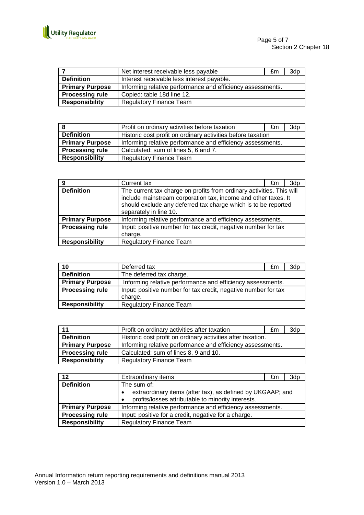

|                        | Net interest receivable less payable                       | £m | 3dp |
|------------------------|------------------------------------------------------------|----|-----|
| <b>Definition</b>      | Interest receivable less interest payable.                 |    |     |
| <b>Primary Purpose</b> | Informing relative performance and efficiency assessments. |    |     |
| <b>Processing rule</b> | Copied: table 18d line 12.                                 |    |     |
| <b>Responsibility</b>  | <b>Regulatory Finance Team</b>                             |    |     |

|                        | Profit on ordinary activities before taxation               | £m | 3dp |
|------------------------|-------------------------------------------------------------|----|-----|
| <b>Definition</b>      | Historic cost profit on ordinary activities before taxation |    |     |
| <b>Primary Purpose</b> | Informing relative performance and efficiency assessments.  |    |     |
| <b>Processing rule</b> | Calculated: sum of lines 5, 6 and 7.                        |    |     |
| <b>Responsibility</b>  | <b>Regulatory Finance Team</b>                              |    |     |

| 9                      | Current tax                                                                                                                                                                                                                         | £m | 3dp |
|------------------------|-------------------------------------------------------------------------------------------------------------------------------------------------------------------------------------------------------------------------------------|----|-----|
| <b>Definition</b>      | The current tax charge on profits from ordinary activities. This will<br>include mainstream corporation tax, income and other taxes. It<br>should exclude any deferred tax charge which is to be reported<br>separately in line 10. |    |     |
| <b>Primary Purpose</b> | Informing relative performance and efficiency assessments.                                                                                                                                                                          |    |     |
| <b>Processing rule</b> | Input: positive number for tax credit, negative number for tax<br>charge.                                                                                                                                                           |    |     |
| <b>Responsibility</b>  | <b>Regulatory Finance Team</b>                                                                                                                                                                                                      |    |     |

| 10                     | Deferred tax                                                   | £m | 3dp |
|------------------------|----------------------------------------------------------------|----|-----|
| <b>Definition</b>      | The deferred tax charge.                                       |    |     |
| <b>Primary Purpose</b> | Informing relative performance and efficiency assessments.     |    |     |
| <b>Processing rule</b> | Input: positive number for tax credit, negative number for tax |    |     |
|                        | charge.                                                        |    |     |
| <b>Responsibility</b>  | <b>Regulatory Finance Team</b>                                 |    |     |

| 11                     | Profit on ordinary activities after taxation                | £m | 3dp |
|------------------------|-------------------------------------------------------------|----|-----|
| <b>Definition</b>      | Historic cost profit on ordinary activities after taxation. |    |     |
| <b>Primary Purpose</b> | Informing relative performance and efficiency assessments.  |    |     |
| <b>Processing rule</b> | Calculated: sum of lines 8, 9 and 10.                       |    |     |
| <b>Responsibility</b>  | <b>Regulatory Finance Team</b>                              |    |     |

| 12                     | Extraordinary items                                                     | £m | 3dp |
|------------------------|-------------------------------------------------------------------------|----|-----|
| <b>Definition</b>      | The sum of:                                                             |    |     |
|                        | extraordinary items (after tax), as defined by UKGAAP; and<br>$\bullet$ |    |     |
|                        | profits/losses attributable to minority interests.<br>$\bullet$         |    |     |
| <b>Primary Purpose</b> | Informing relative performance and efficiency assessments.              |    |     |
| <b>Processing rule</b> | Input: positive for a credit, negative for a charge.                    |    |     |
| <b>Responsibility</b>  | <b>Regulatory Finance Team</b>                                          |    |     |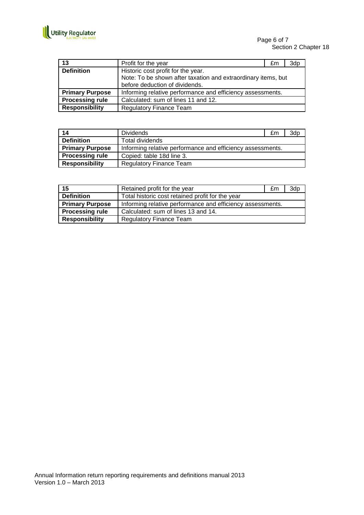

| 13                     | Profit for the year                                           | £m | 3dp |
|------------------------|---------------------------------------------------------------|----|-----|
| <b>Definition</b>      | Historic cost profit for the year.                            |    |     |
|                        | Note: To be shown after taxation and extraordinary items, but |    |     |
|                        | before deduction of dividends.                                |    |     |
| <b>Primary Purpose</b> | Informing relative performance and efficiency assessments.    |    |     |
| <b>Processing rule</b> | Calculated: sum of lines 11 and 12.                           |    |     |
| <b>Responsibility</b>  | <b>Regulatory Finance Team</b>                                |    |     |

| 14                     | <b>Dividends</b>                                           | £m | 3dp |
|------------------------|------------------------------------------------------------|----|-----|
| <b>Definition</b>      | Total dividends                                            |    |     |
| <b>Primary Purpose</b> | Informing relative performance and efficiency assessments. |    |     |
| <b>Processing rule</b> | Copied: table 18d line 3.                                  |    |     |
| <b>Responsibility</b>  | <b>Regulatory Finance Team</b>                             |    |     |

| 15                     | Retained profit for the year                               | £m | 3dp |
|------------------------|------------------------------------------------------------|----|-----|
| <b>Definition</b>      | Total historic cost retained profit for the year           |    |     |
| <b>Primary Purpose</b> | Informing relative performance and efficiency assessments. |    |     |
| <b>Processing rule</b> | Calculated: sum of lines 13 and 14.                        |    |     |
| <b>Responsibility</b>  | <b>Regulatory Finance Team</b>                             |    |     |